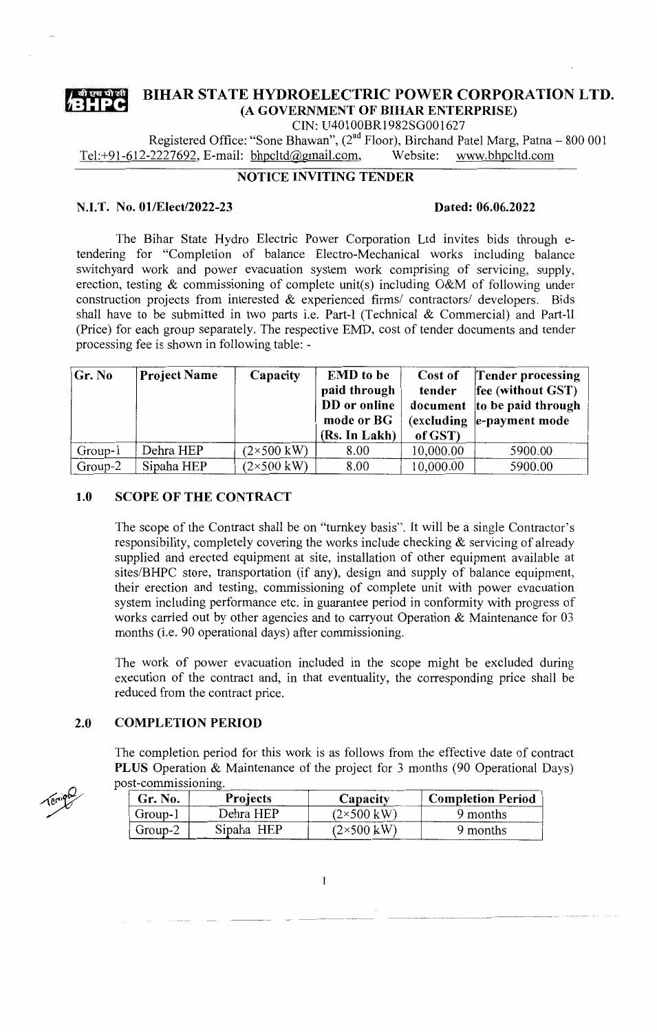

# **BIHAR STATE HYDROELECTRIC POWER CORPORATION LTD.**

**(A GOVERNMENT OF BIHAR ENTERPRISE)** 

CIN: U40100BR1982SG001627

Registered Office: "Sone Bhawan",  $(2^{nd}$  Floor), Birchand Patel Marg, Patna – 800 001<br>-2227692, E-mail: bhpcltd@gmail.com, Website: www.bhpcltd.com Tel:+91-612-2227692, E-mail: bhpcltd@gmail.com,

## **NOTICE INVITING TENDER**

#### **N.I.T. No. 01/Elect/2022-23 Dated: 06.06.2022**

The Bihar State Hydro Electric Power Corporation Ltd invites bids through etendering for "Completion of balance Electro-Mechanical works including balance switchyard work and power evacuation system work comprising of servicing, supply, erection, testing & commissioning of complete unit(s) including O&M of following under construction projects from interested & experienced firms/ contractors/ developers. Bids shall have to be submitted in two parts i.e. Part-I (Technical & Commercial) and Part-II (Price) for each group separately. The respective EMD, cost of tender documents and tender processing fee is shown in following table: -

| Gr. No  | <b>Project Name</b> | Capacity                   | <b>EMD</b> to be | Cost of   | Tender processing                              |
|---------|---------------------|----------------------------|------------------|-----------|------------------------------------------------|
|         |                     |                            | paid through     | tender    | fee (without GST)                              |
|         |                     |                            | DD or online     |           | document to be paid through                    |
|         |                     |                            | mode or BG       |           | $\left(\text{excluding}\right)$ e-payment mode |
|         |                     |                            | (Rs. In Lakh)    | of GST)   |                                                |
| Group-1 | Dehra HEP           | $(2\times 500 \text{ kW})$ | 8.00             | 10,000.00 | 5900.00                                        |
| Group-2 | Sipaha HEP          | $(2\times500 \text{ kW})$  | 8.00             | 10,000.00 | 5900.00                                        |

#### **1.0 SCOPE OF THE CONTRACT**

The scope of the Contract shall be on "turnkey basis". It will be a single Contractor's responsibility, completely covering the works include checking  $\&$  servicing of already supplied and erected equipment at site, installation of other equipment available at sites/BHPC store, transportation (if any), design and supply of balance equipment, their erection and testing, commissioning of complete unit with power evacuation system including performance etc. in guarantee period in conformity with progress of works carried out by other agencies and to carryout Operation & Maintenance for 03 months (i.e. 90 operational days) after commissioning.

The work of power evacuation included in the scope might be excluded during execution of the contract and, in that eventuality, the corresponding price shall be reduced from the contract price.

### **2.0 COMPLETION PERIOD**

The completion period for this work is as follows from the effective date of contract **PLUS** Operation & Maintenance of the project for 3 months (90 Operational Days) post-commissioning.

| Gr. No. | <b>Projects</b> | Capacity                  | <b>Completion Period</b> |
|---------|-----------------|---------------------------|--------------------------|
| Group-1 | Dehra HEP       | $(2\times500 \text{ kW})$ | 9 months                 |
| Group-2 | Sipaha HEP      | $(2\times500 \text{ kW})$ | 9 months                 |

Terripo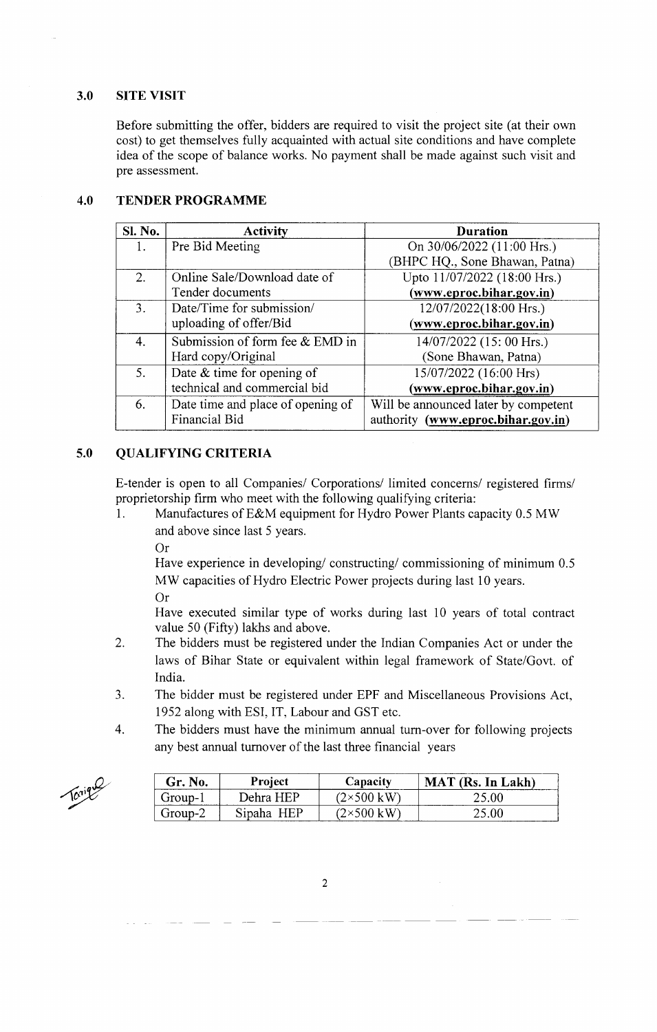### **3.0 SITE VISIT**

Before submitting the offer, bidders are required to visit the project site (at their own cost) to get themselves fully acquainted with actual site conditions and have complete idea of the scope of balance works. No payment shall be made against such visit and pre assessment.

#### **4.0 TENDER PROGRAMME**

| Sl. No.        | <b>Activity</b>                   | <b>Duration</b>                      |
|----------------|-----------------------------------|--------------------------------------|
| 1.             | Pre Bid Meeting                   | On 30/06/2022 (11:00 Hrs.)           |
|                |                                   | (BHPC HQ., Sone Bhawan, Patna)       |
| 2.             | Online Sale/Download date of      | Upto 11/07/2022 (18:00 Hrs.)         |
|                | Tender documents                  | (www.eproc.bihar.gov.in)             |
| $\mathbf{3}$ . | Date/Time for submission/         | 12/07/2022(18:00 Hrs.)               |
|                | uploading of offer/Bid            | (www.eproc.bihar.gov.in)             |
| 4.             | Submission of form fee & EMD in   | 14/07/2022 (15: 00 Hrs.)             |
|                | Hard copy/Original                | (Sone Bhawan, Patna)                 |
| 5.             | Date $&$ time for opening of      | 15/07/2022 (16:00 Hrs)               |
|                | technical and commercial bid      | $(www.eproc.bihar.gov.in)$           |
| 6.             | Date time and place of opening of | Will be announced later by competent |
|                | Financial Bid                     | authority (www.eproc.bihar.gov.in)   |

#### **5.0 QUALIFYING CRITERIA**

E-tender is open to all Companies/ Corporations/ limited concerns/ registered firms/ proprietorship firm who meet with the following qualifying criteria:

- 1. Manufactures of E&M equipment for Hydro Power Plants capacity 0.5 MW and above since last 5 years.
	- Or

Have experience in developing/ constructing/ commissioning of minimum 0.5 MW capacities of Hydro Electric Power projects during last 10 years.

Or

Have executed similar type of works during last 10 years of total contract value 50 (Fifty) lakhs and above.

- 2. The bidders must be registered under the Indian Companies Act or under the laws of Bihar State or equivalent within legal framework of State/Govt. of India.
- 3. The bidder must be registered under EPF and Miscellaneous Provisions Act, 1952 along with ESI, IT, Labour and GST etc.
- 4. The bidders must have the minimum annual tum-over for following projects any best annual turnover of the last three financial years

Tonigue

| Gr. No.             | <b>Project</b> | Capacity  | <b>MAT</b> (Rs. In Lakh) |
|---------------------|----------------|-----------|--------------------------|
| Group- <sup>1</sup> | Dehra HEP      | (2×500 kW | 25.00                    |
| Group-2             | Sipaha HEP     | (2×500 kW |                          |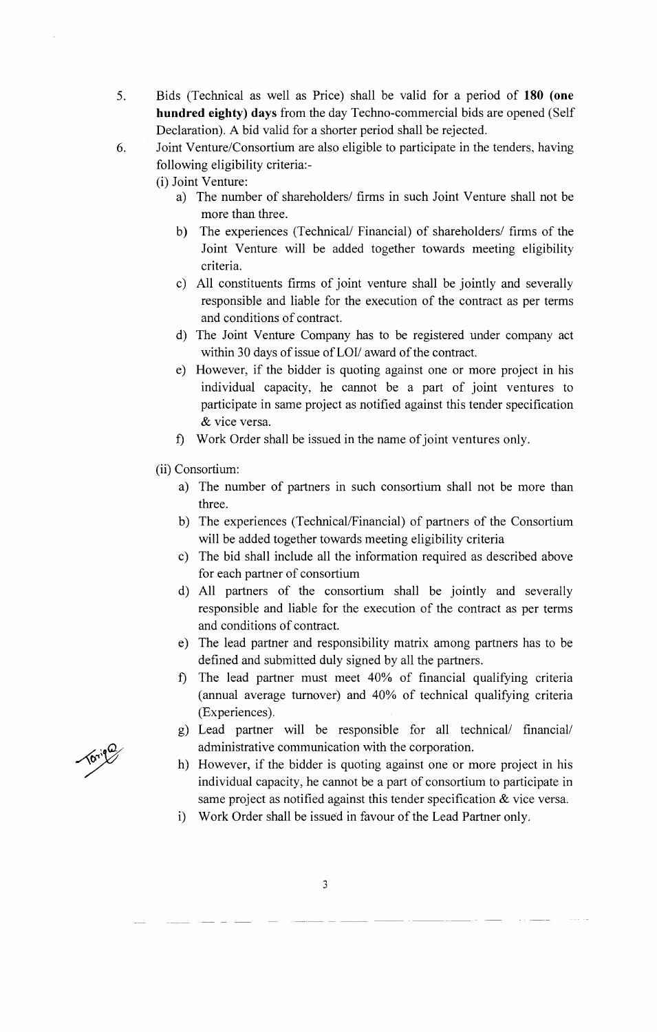- 5. Bids (Technical as well as Price) shall be valid for a period of **180 (one hundred eighty) days** from the day Techno-commercial bids are opened (Self Declaration). A bid valid for a shorter period shall be rejected.
- 6. Joint Venture/Consortium are also eligible to participate in the tenders, having following eligibility criteria:-

(i) Joint Venture:

- a) The number of shareholders/ firms in such Joint Venture shall not be more than three.
- b) The experiences (Technical/ Financial) of shareholders/ firms of the Joint Venture will be added together towards meeting eligibility criteria.
- c) All constituents firms of joint venture shall be jointly and severally responsible and liable for the execution of the contract as per terms and conditions of contract.
- d) The Joint Venture Company has to be registered under company act within 30 days of issue of LOI/ award of the contract.
- e) However, if the bidder is quoting against one or more project in his individual capacity, he cannot be a part of joint ventures to participate in same project as notified against this tender specification & vice versa.
- f) Work Order shall be issued in the name of joint ventures only.
- (ii) Consortium:
	- a) The number of partners in such consortium shall not be more than three.
	- b) The experiences (Technical/Financial) of partners of the Consortium will be added together towards meeting eligibility criteria
	- c) The bid shall include all the information required as described above for each partner of consortium
	- d) All partners of the consortium shall be jointly and severally responsible and liable for the execution of the contract as per terms and conditions of contract.
	- e) The lead partner and responsibility matrix among partners has to be defined and submitted duly signed by all the partners.
	- f) The lead partner must meet 40% of financial qualifying criteria (annual average turnover) and 40% of technical qualifying criteria (Experiences).
	- g) Lead partner will be responsible for all technical/ financial/ administrative communication with the corporation.
	- h) However, if the bidder is quoting against one or more project in his individual capacity, he cannot be a part of consortium to participate in same project as notified against this tender specification & vice versa.
	- i) Work Order shall be issued in favour of the Lead Partner only.